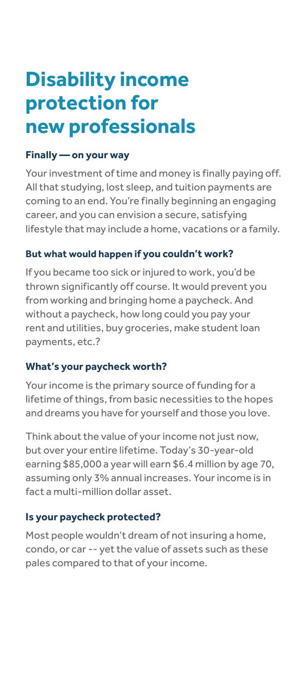# **Disability income protection for new professionals**

#### **Finally — on your way**

Your investment of time and money is finally paying off. All that studying, lost sleep, and tuition payments are coming to an end. You're finally beginning an engaging career, and you can envision a secure, satisfying lifestyle that may include a home, vacations or a family.

#### **But what would happen if you couldn't work?**

If you became too sick or injured to work, you'd be thrown significantly off course. It would prevent you from working and bringing home a paycheck. And without a paycheck, how long could you pay your rent and utilities, buy groceries, make student loan payments, etc.?

# **What's your paycheck worth?**

Your income is the primary source of funding for a lifetime of things, from basic necessities to the hopes and dreams you have for yourself and those you love.

Think about the value of your income not just now, but over your entire lifetime. Today's 30-year-old earning \$85,000 a year will earn \$6.4 million by age 70, assuming only 3% annual increases. Your income is in fact a multi-million dollar asset.

# **Is your paycheck protected?**

Most people wouldn't dream of not insuring a home, condo, or car -- yet the value of assets such as these pales compared to that of your income.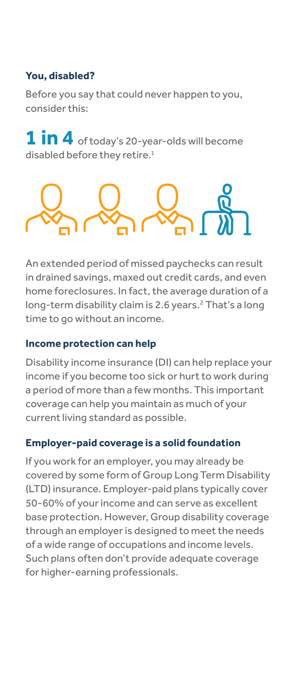# **You, disabled?**

Before you say that could never happen to you, consider this:

**1 in 4** of today's 20-year-olds will become disabled before they retire.<sup>1</sup>



An extended period of missed paychecks can result in drained savings, maxed out credit cards, and even home foreclosures. In fact, the average duration of a long-term disability claim is 2.6 years.<sup>2</sup> That's a long time to go without an income.

#### **Income protection can help**

Disability income insurance (DI) can help replace your income if you become too sick or hurt to work during a period of more than a few months. This important coverage can help you maintain as much of your current living standard as possible.

#### **Employer-paid coverage is a solid foundation**

If you work for an employer, you may already be covered by some form of Group Long Term Disability (LTD) insurance. Employer-paid plans typically cover 50-60% of your income and can serve as excellent base protection. However, Group disability coverage through an employer is designed to meet the needs of a wide range of occupations and income levels. Such plans often don't provide adequate coverage for higher-earning professionals.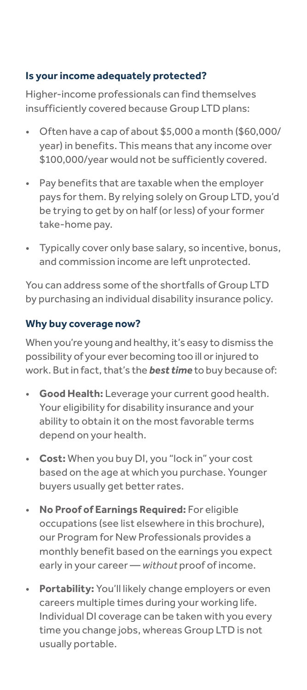# **Is your income adequately protected?**

Higher-income professionals can find themselves insufficiently covered because Group LTD plans:

- Often have a cap of about \$5,000 a month (\$60,000/ year) in benefits. This means that any income over \$100,000/year would not be sufficiently covered.
- Pay benefits that are taxable when the employer pays for them. By relying solely on Group LTD, you'd be trying to get by on half (or less) of your former take-home pay.
- Typically cover only base salary, so incentive, bonus, and commission income are left unprotected.

You can address some of the shortfalls of Group LTD by purchasing an individual disability insurance policy.

# **Why buy coverage now?**

When you're young and healthy, it's easy to dismiss the possibility of your ever becoming too ill or injured to work. But in fact, that's the *best time* to buy because of:

- **Good Health:** Leverage your current good health. Your eligibility for disability insurance and your ability to obtain it on the most favorable terms depend on your health.
- **Cost:** When you buy DI, you "lock in" your cost based on the age at which you purchase. Younger buyers usually get better rates.
- **No Proof of Earnings Required:** For eligible occupations (see list elsewhere in this brochure), our Program for New Professionals provides a monthly benefit based on the earnings you expect early in your career — *without* proof of income.
- **Portability:** You'll likely change employers or even careers multiple times during your working life. Individual DI coverage can be taken with you every time you change jobs, whereas Group LTD is not usually portable.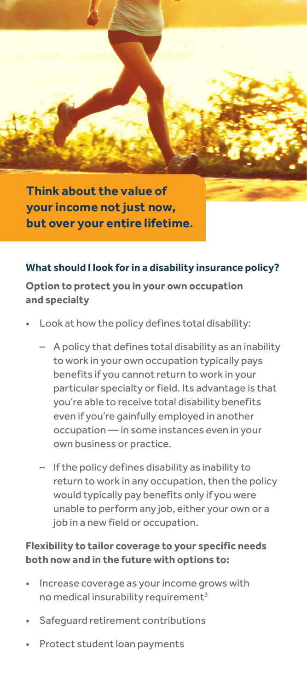

**Think about the value of your income not just now, but over your entire lifetime.**

#### **What should I look for in a disability insurance policy?**

**Option to protect you in your own occupation and specialty**

- Look at how the policy defines total disability:
	- A policy that defines total disability as an inability to work in your own occupation typically pays benefits if you cannot return to work in your particular specialty or field. Its advantage is that you're able to receive total disability benefits even if you're gainfully employed in another occupation — in some instances even in your own business or practice.
	- If the policy defines disability as inability to return to work in any occupation, then the policy would typically pay benefits only if you were unable to perform any job, either your own or a job in a new field or occupation.

#### **Flexibility to tailor coverage to your specific needs both now and in the future with options to:**

- Increase coverage as your income grows with no medical insurability requirement<sup>3</sup>
- Safequard retirement contributions
- Protect student loan payments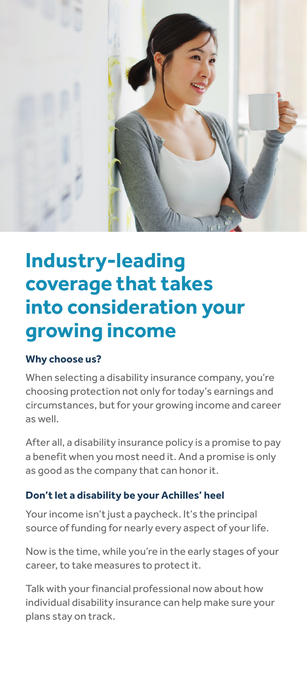

# **Industry-leading coverage that takes into consideration your growing income**

# **Why choose us?**

When selecting a disability insurance company, you're choosing protection not only for today's earnings and circumstances, but for your growing income and career as well.

After all, a disability insurance policy is a promise to pay a benefit when you most need it. And a promise is only as good as the company that can honor it.

# **Don't let a disability be your Achilles' heel**

Your income isn't just a paycheck. It's the principal source of funding for nearly every aspect of your life.

Now is the time, while you're in the early stages of your career, to take measures to protect it.

Talk with your financial professional now about how individual disability insurance can help make sure your plans stay on track.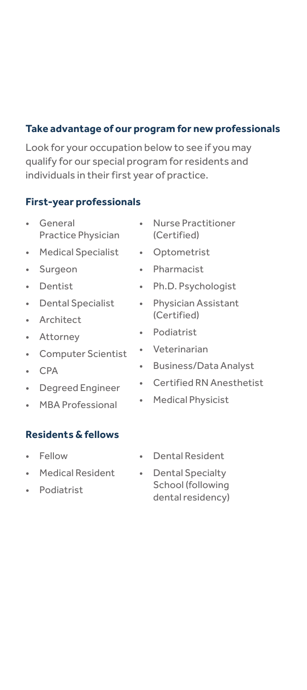#### **Take advantage of our program for new professionals**

Look for your occupation below to see if you may qualify for our special program for residents and individuals in their first year of practice.

#### **First-year professionals**

- **General** Practice Physician
- Medical Specialist
- Surgeon
- Dentist
- Dental Specialist
- Architect
- Attorney
- Computer Scientist
- CPA
- Degreed Engineer
- MBA Professional

#### **Residents & fellows**

- Fellow
- Medical Resident
- Podiatrist
- Nurse Practitioner (Certified)
- Optometrist
- Pharmacist
- Ph.D. Psychologist
- Physician Assistant (Certified)
- Podiatrist
- Veterinarian
- Business/Data Analyst
- Certified RN Anesthetist
- Medical Physicist
- Dental Resident
- Dental Specialty School (following dental residency)